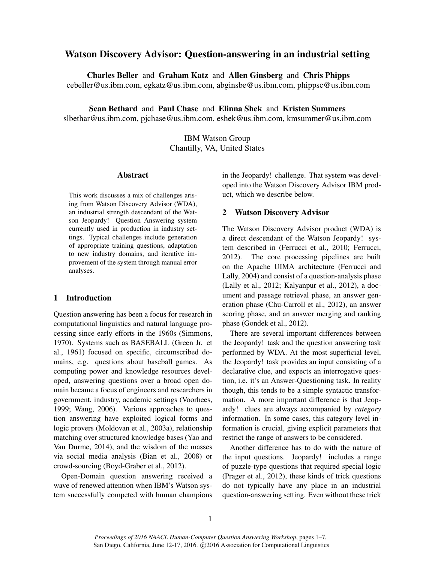# Watson Discovery Advisor: Question-answering in an industrial setting

Charles Beller and Graham Katz and Allen Ginsberg and Chris Phipps cebeller@us.ibm.com, egkatz@us.ibm.com, abginsbe@us.ibm.com, phippsc@us.ibm.com

Sean Bethard and Paul Chase and Elinna Shek and Kristen Summers slbethar@us.ibm.com, pjchase@us.ibm.com, eshek@us.ibm.com, kmsummer@us.ibm.com

> IBM Watson Group Chantilly, VA, United States

# Abstract

This work discusses a mix of challenges arising from Watson Discovery Advisor (WDA), an industrial strength descendant of the Watson Jeopardy! Question Answering system currently used in production in industry settings. Typical challenges include generation of appropriate training questions, adaptation to new industry domains, and iterative improvement of the system through manual error analyses.

# 1 Introduction

Question answering has been a focus for research in computational linguistics and natural language processing since early efforts in the 1960s (Simmons, 1970). Systems such as BASEBALL (Green Jr. et al., 1961) focused on specific, circumscribed domains, e.g. questions about baseball games. As computing power and knowledge resources developed, answering questions over a broad open domain became a focus of engineers and researchers in government, industry, academic settings (Voorhees, 1999; Wang, 2006). Various approaches to question answering have exploited logical forms and logic provers (Moldovan et al., 2003a), relationship matching over structured knowledge bases (Yao and Van Durme, 2014), and the wisdom of the masses via social media analysis (Bian et al., 2008) or crowd-sourcing (Boyd-Graber et al., 2012).

Open-Domain question answering received a wave of renewed attention when IBM's Watson system successfully competed with human champions in the Jeopardy! challenge. That system was developed into the Watson Discovery Advisor IBM product, which we describe below.

#### 2 Watson Discovery Advisor

The Watson Discovery Advisor product (WDA) is a direct descendant of the Watson Jeopardy! system described in (Ferrucci et al., 2010; Ferrucci, 2012). The core processing pipelines are built on the Apache UIMA architecture (Ferrucci and Lally, 2004) and consist of a question-analysis phase (Lally et al., 2012; Kalyanpur et al., 2012), a document and passage retrieval phase, an answer generation phase (Chu-Carroll et al., 2012), an answer scoring phase, and an answer merging and ranking phase (Gondek et al., 2012).

There are several important differences between the Jeopardy! task and the question answering task performed by WDA. At the most superficial level, the Jeopardy! task provides an input consisting of a declarative clue, and expects an interrogative question, i.e. it's an Answer-Questioning task. In reality though, this tends to be a simple syntactic transformation. A more important difference is that Jeopardy! clues are always accompanied by *category* information. In some cases, this category level information is crucial, giving explicit parameters that restrict the range of answers to be considered.

Another difference has to do with the nature of the input questions. Jeopardy! includes a range of puzzle-type questions that required special logic (Prager et al., 2012), these kinds of trick questions do not typically have any place in an industrial question-answering setting. Even without these trick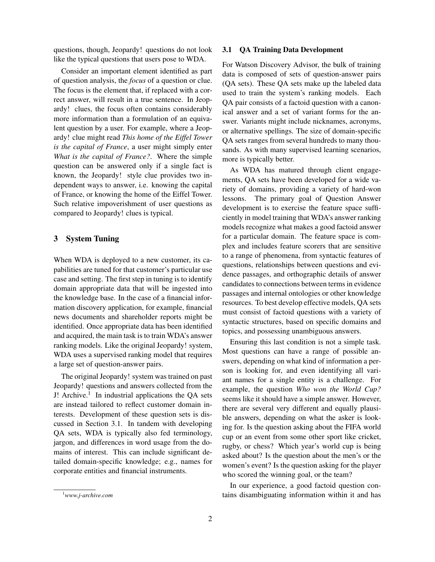questions, though, Jeopardy! questions do not look like the typical questions that users pose to WDA.

Consider an important element identified as part of question analysis, the *focus* of a question or clue. The focus is the element that, if replaced with a correct answer, will result in a true sentence. In Jeopardy! clues, the focus often contains considerably more information than a formulation of an equivalent question by a user. For example, where a Jeopardy! clue might read *This home of the Eiffel Tower is the capital of France*, a user might simply enter *What is the capital of France?*. Where the simple question can be answered only if a single fact is known, the Jeopardy! style clue provides two independent ways to answer, i.e. knowing the capital of France, or knowing the home of the Eiffel Tower. Such relative impoverishment of user questions as compared to Jeopardy! clues is typical.

# 3 System Tuning

When WDA is deployed to a new customer, its capabilities are tuned for that customer's particular use case and setting. The first step in tuning is to identify domain appropriate data that will be ingested into the knowledge base. In the case of a financial information discovery application, for example, financial news documents and shareholder reports might be identified. Once appropriate data has been identified and acquired, the main task is to train WDA's answer ranking models. Like the original Jeopardy! system, WDA uses a supervised ranking model that requires a large set of question-answer pairs.

The original Jeopardy! system was trained on past Jeopardy! questions and answers collected from the J! Archive.<sup>1</sup> In industrial applications the QA sets are instead tailored to reflect customer domain interests. Development of these question sets is discussed in Section 3.1. In tandem with developing QA sets, WDA is typically also fed terminology, jargon, and differences in word usage from the domains of interest. This can include significant detailed domain-specific knowledge; e.g., names for corporate entities and financial instruments.

#### 3.1 QA Training Data Development

For Watson Discovery Advisor, the bulk of training data is composed of sets of question-answer pairs (QA sets). These QA sets make up the labeled data used to train the system's ranking models. Each QA pair consists of a factoid question with a canonical answer and a set of variant forms for the answer. Variants might include nicknames, acronyms, or alternative spellings. The size of domain-specific QA sets ranges from several hundreds to many thousands. As with many supervised learning scenarios, more is typically better.

As WDA has matured through client engagements, QA sets have been developed for a wide variety of domains, providing a variety of hard-won lessons. The primary goal of Question Answer development is to exercise the feature space sufficiently in model training that WDA's answer ranking models recognize what makes a good factoid answer for a particular domain. The feature space is complex and includes feature scorers that are sensitive to a range of phenomena, from syntactic features of questions, relationships between questions and evidence passages, and orthographic details of answer candidates to connections between terms in evidence passages and internal ontologies or other knowledge resources. To best develop effective models, QA sets must consist of factoid questions with a variety of syntactic structures, based on specific domains and topics, and possessing unambiguous answers.

Ensuring this last condition is not a simple task. Most questions can have a range of possible answers, depending on what kind of information a person is looking for, and even identifying all variant names for a single entity is a challenge. For example, the question *Who won the World Cup?* seems like it should have a simple answer. However, there are several very different and equally plausible answers, depending on what the asker is looking for. Is the question asking about the FIFA world cup or an event from some other sport like cricket, rugby, or chess? Which year's world cup is being asked about? Is the question about the men's or the women's event? Is the question asking for the player who scored the winning goal, or the team?

In our experience, a good factoid question contains disambiguating information within it and has

<sup>1</sup>*www.j-archive.com*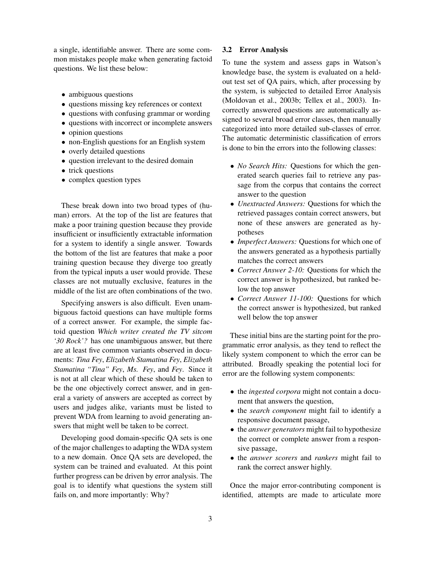a single, identifiable answer. There are some common mistakes people make when generating factoid questions. We list these below:

- ambiguous questions
- questions missing key references or context
- questions with confusing grammar or wording
- questions with incorrect or incomplete answers
- opinion questions
- non-English questions for an English system
- overly detailed questions
- question irrelevant to the desired domain
- trick questions
- complex question types

These break down into two broad types of (human) errors. At the top of the list are features that make a poor training question because they provide insufficient or insufficiently extractable information for a system to identify a single answer. Towards the bottom of the list are features that make a poor training question because they diverge too greatly from the typical inputs a user would provide. These classes are not mutually exclusive, features in the middle of the list are often combinations of the two.

Specifying answers is also difficult. Even unambiguous factoid questions can have multiple forms of a correct answer. For example, the simple factoid question *Which writer created the TV sitcom '30 Rock'?* has one unambiguous answer, but there are at least five common variants observed in documents: *Tina Fey*, *Elizabeth Stamatina Fey*, *Elizabeth Stamatina "Tina" Fey*, *Ms. Fey*, and *Fey*. Since it is not at all clear which of these should be taken to be the one objectively correct answer, and in general a variety of answers are accepted as correct by users and judges alike, variants must be listed to prevent WDA from learning to avoid generating answers that might well be taken to be correct.

Developing good domain-specific QA sets is one of the major challenges to adapting the WDA system to a new domain. Once QA sets are developed, the system can be trained and evaluated. At this point further progress can be driven by error analysis. The goal is to identify what questions the system still fails on, and more importantly: Why?

#### 3.2 Error Analysis

To tune the system and assess gaps in Watson's knowledge base, the system is evaluated on a heldout test set of QA pairs, which, after processing by the system, is subjected to detailed Error Analysis (Moldovan et al., 2003b; Tellex et al., 2003). Incorrectly answered questions are automatically assigned to several broad error classes, then manually categorized into more detailed sub-classes of error. The automatic deterministic classification of errors is done to bin the errors into the following classes:

- *No Search Hits:* Questions for which the generated search queries fail to retrieve any passage from the corpus that contains the correct answer to the question
- *Unextracted Answers:* Questions for which the retrieved passages contain correct answers, but none of these answers are generated as hypotheses
- *Imperfect Answers:* Questions for which one of the answers generated as a hypothesis partially matches the correct answers
- *Correct Answer 2-10:* Questions for which the correct answer is hypothesized, but ranked below the top answer
- *Correct Answer 11-100:* Questions for which the correct answer is hypothesized, but ranked well below the top answer

These initial bins are the starting point for the programmatic error analysis, as they tend to reflect the likely system component to which the error can be attributed. Broadly speaking the potential loci for error are the following system components:

- the *ingested corpora* might not contain a document that answers the question,
- the *search component* might fail to identify a responsive document passage,
- the *answer generators* might fail to hypothesize the correct or complete answer from a responsive passage,
- the *answer scorers* and *rankers* might fail to rank the correct answer highly.

Once the major error-contributing component is identified, attempts are made to articulate more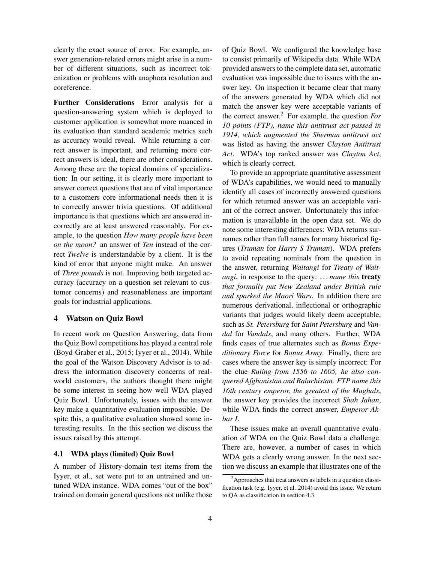clearly the exact source of error. For example, answer generation-related errors might arise in a number of different situations, such as incorrect tokenization or problems with anaphora resolution and coreference.

Further Considerations Error analysis for a question-answering system which is deployed to customer application is somewhat more nuanced in its evaluation than standard academic metrics such as accuracy would reveal. While returning a correct answer is important, and returning more correct answers is ideal, there are other considerations. Among these are the topical domains of specialization: In our setting, it is clearly more important to answer correct questions that are of vital importance to a customers core informational needs then it is to correctly answer trivia questions. Of additional importance is that questions which are answered incorrectly are at least answered reasonably. For example, to the question *How many people have been on the moon?* an answer of *Ten* instead of the correct *Twelve* is understandable by a client. It is the kind of error that anyone might make. An answer of *Three pounds* is not. Improving both targeted accuracy (accuracy on a question set relevant to customer concerns) and reasonableness are important goals for industrial applications.

### 4 Watson on Quiz Bowl

In recent work on Question Answering, data from the Quiz Bowl competitions has played a central role (Boyd-Graber et al., 2015; Iyyer et al., 2014). While the goal of the Watson Discovery Advisor is to address the information discovery concerns of realworld customers, the authors thought there might be some interest in seeing how well WDA played Quiz Bowl. Unfortunately, issues with the answer key make a quantitative evaluation impossible. Despite this, a qualitative evaluation showed some interesting results. In the this section we discuss the issues raised by this attempt.

### 4.1 WDA plays (limited) Quiz Bowl

A number of History-domain test items from the Iyyer, et al., set were put to an untrained and untuned WDA instance. WDA comes "out of the box" trained on domain general questions not unlike those of Quiz Bowl. We configured the knowledge base to consist primarily of Wikipedia data. While WDA provided answers to the complete data set, automatic evaluation was impossible due to issues with the answer key. On inspection it became clear that many of the answers generated by WDA which did not match the answer key were acceptable variants of the correct answer.<sup>2</sup> For example, the question *For 10 points (FTP), name this antitrust act passed in 1914, which augmented the Sherman antitrust act* was listed as having the answer *Clayton Antitrust Act*. WDA's top ranked answer was *Clayton Act*, which is clearly correct.

To provide an appropriate quantitative assessment of WDA's capabilities, we would need to manually identify all cases of incorrectly answered questions for which returned answer was an acceptable variant of the correct answer. Unfortunately this information is unavailable in the open data set. We do note some interesting differences: WDA returns surnames rather than full names for many historical figures (*Truman* for *Harry S Truman*). WDA prefers to avoid repeating nominals from the question in the answer, returning *Waitangi* for *Treaty of Waitangi*, in response to the query: *. . . name this* treaty *that formally put New Zealand under British rule and sparked the Maori Wars*. In addition there are numerous derivational, inflectional or orthographic variants that judges would likely deem acceptable, such as *St. Petersburg* for *Saint Petersburg* and *Vandal* for *Vandals*, and many others. Further, WDA finds cases of true alternates such as *Bonus Expeditionary Force* for *Bonus Army*. Finally, there are cases where the answer key is simply incorrect: For the clue *Ruling from 1556 to 1605, he also conquered Afghanistan and Baluchistan. FTP name this 16th century emperor, the greatest of the Mughals*, the answer key provides the incorrect *Shah Jahan*, while WDA finds the correct answer, *Emperor Akbar I*.

These issues make an overall quantitative evaluation of WDA on the Quiz Bowl data a challenge. There are, however, a number of cases in which WDA gets a clearly wrong answer. In the next section we discuss an example that illustrates one of the

<sup>&</sup>lt;sup>2</sup>Approaches that treat answers as labels in a question classification task (e.g. Iyyer, et al. 2014) avoid this issue. We return to QA as classification in section 4.3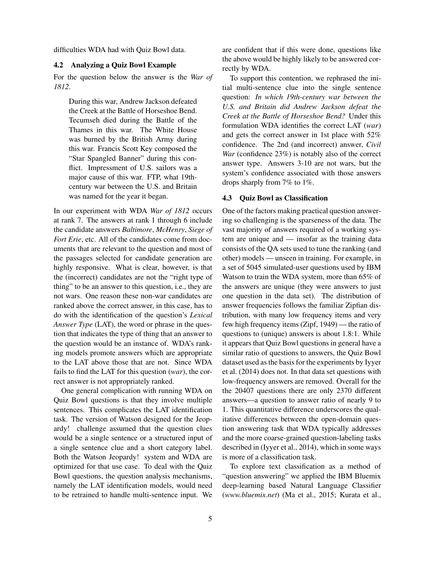difficulties WDA had with Quiz Bowl data.

#### 4.2 Analyzing a Quiz Bowl Example

For the question below the answer is the *War of 1812*.

During this war, Andrew Jackson defeated the Creek at the Battle of Horseshoe Bend. Tecumseh died during the Battle of the Thames in this war. The White House was burned by the British Army during this war. Francis Scott Key composed the "Star Spangled Banner" during this conflict. Impressment of U.S. sailors was a major cause of this war. FTP, what 19thcentury war between the U.S. and Britain was named for the year it began.

In our experiment with WDA *War of 1812* occurs at rank 7. The answers at rank 1 through 6 include the candidate answers *Baltimore*, *McHenry*, *Siege of Fort Erie*, etc. All of the candidates come from documents that are relevant to the question and most of the passages selected for candidate generation are highly responsive. What is clear, however, is that the (incorrect) candidates are not the "right type of thing" to be an answer to this question, i.e., they are not wars. One reason these non-war candidates are ranked above the correct answer, in this case, has to do with the identification of the question's *Lexical Answer Type* (LAT), the word or phrase in the question that indicates the type of thing that an answer to the question would be an instance of. WDA's ranking models promote answers which are appropriate to the LAT above those that are not. Since WDA fails to find the LAT for this question (*war*), the correct answer is not appropriately ranked.

One general complication with running WDA on Quiz Bowl questions is that they involve multiple sentences. This complicates the LAT identification task. The version of Watson designed for the Jeopardy! challenge assumed that the question clues would be a single sentence or a structured input of a single sentence clue and a short category label. Both the Watson Jeopardy! system and WDA are optimized for that use case. To deal with the Quiz Bowl questions, the question analysis mechanisms, namely the LAT identification models, would need to be retrained to handle multi-sentence input. We are confident that if this were done, questions like the above would be highly likely to be answered correctly by WDA.

To support this contention, we rephrased the initial multi-sentence clue into the single sentence question: *In which 19th-century war between the U.S. and Britain did Andrew Jackson defeat the Creek at the Battle of Horseshoe Bend?* Under this formulation WDA identifies the correct LAT (*war*) and gets the correct answer in 1st place with 52% confidence. The 2nd (and incorrect) answer, *Civil War* (confidence 23%) is notably also of the correct answer type. Answers 3-10 are not wars, but the system's confidence associated with those answers drops sharply from 7% to 1%.

### 4.3 Quiz Bowl as Classification

One of the factors making practical question answering so challenging is the sparseness of the data. The vast majority of answers required of a working system are unique and — insofar as the training data consists of the QA sets used to tune the ranking (and other) models — unseen in training. For example, in a set of 5045 simulated-user questions used by IBM Watson to train the WDA system, more than 65% of the answers are unique (they were answers to just one question in the data set). The distribution of answer frequencies follows the familiar Zipfian distribution, with many low frequency items and very few high frequency items (Zipf, 1949) — the ratio of questions to (unique) answers is about 1.8:1. While it appears that Quiz Bowl questions in general have a similar ratio of questions to answers, the Quiz Bowl dataset used as the basis for the experiments by Iyyer et al. (2014) does not. In that data set questions with low-frequency answers are removed. Overall for the the 20407 questions there are only 2370 different answers—a question to answer ratio of nearly 9 to 1. This quantitative difference underscores the qualitative differences between the open-domain question answering task that WDA typically addresses and the more coarse-grained question-labeling tasks described in (Iyyer et al., 2014), which in some ways is more of a classification task.

To explore text classification as a method of "question answering" we applied the IBM Bluemix deep-learning based Natural Language Classifier (*www.bluemix.net*) (Ma et al., 2015; Kurata et al.,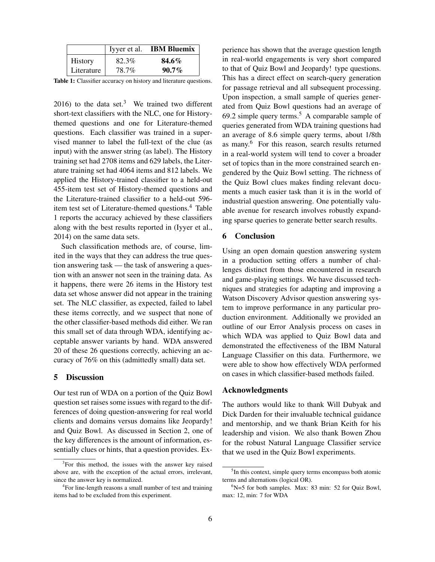|            |       | Iyyer et al. <b>IBM Bluemix</b> |
|------------|-------|---------------------------------|
| History    | 82.3% | 84.6%                           |
| Literature | 78.7% | $90.7\%$                        |

Table 1: Classifier accuracy on history and literature questions.

2016) to the data set.<sup>3</sup> We trained two different short-text classifiers with the NLC, one for Historythemed questions and one for Literature-themed questions. Each classifier was trained in a supervised manner to label the full-text of the clue (as input) with the answer string (as label). The History training set had 2708 items and 629 labels, the Literature training set had 4064 items and 812 labels. We applied the History-trained classifier to a held-out 455-item test set of History-themed questions and the Literature-trained classifier to a held-out 596 item test set of Literature-themed questions.<sup>4</sup> Table 1 reports the accuracy achieved by these classifiers along with the best results reported in (Iyyer et al., 2014) on the same data sets.

Such classification methods are, of course, limited in the ways that they can address the true question answering task — the task of answering a question with an answer not seen in the training data. As it happens, there were 26 items in the History test data set whose answer did not appear in the training set. The NLC classifier, as expected, failed to label these items correctly, and we suspect that none of the other classifier-based methods did either. We ran this small set of data through WDA, identifying acceptable answer variants by hand. WDA answered 20 of these 26 questions correctly, achieving an accuracy of 76% on this (admittedly small) data set.

#### 5 Discussion

Our test run of WDA on a portion of the Quiz Bowl question set raises some issues with regard to the differences of doing question-answering for real world clients and domains versus domains like Jeopardy! and Quiz Bowl. As discussed in Section 2, one of the key differences is the amount of information, essentially clues or hints, that a question provides. Experience has shown that the average question length in real-world engagements is very short compared to that of Quiz Bowl and Jeopardy! type questions. This has a direct effect on search-query generation for passage retrieval and all subsequent processing. Upon inspection, a small sample of queries generated from Quiz Bowl questions had an average of 69.2 simple query terms.<sup>5</sup> A comparable sample of queries generated from WDA training questions had an average of 8.6 simple query terms, about 1/8th as many.<sup>6</sup> For this reason, search results returned in a real-world system will tend to cover a broader set of topics than in the more constrained search engendered by the Quiz Bowl setting. The richness of the Quiz Bowl clues makes finding relevant documents a much easier task than it is in the world of industrial question answering. One potentially valuable avenue for research involves robustly expanding sparse queries to generate better search results.

### 6 Conclusion

Using an open domain question answering system in a production setting offers a number of challenges distinct from those encountered in research and game-playing settings. We have discussed techniques and strategies for adapting and improving a Watson Discovery Advisor question answering system to improve performance in any particular production environment. Additionally we provided an outline of our Error Analysis process on cases in which WDA was applied to Quiz Bowl data and demonstrated the effectiveness of the IBM Natural Language Classifier on this data. Furthermore, we were able to show how effectively WDA performed on cases in which classifier-based methods failed.

### Acknowledgments

The authors would like to thank Will Dubyak and Dick Darden for their invaluable technical guidance and mentorship, and we thank Brian Keith for his leadership and vision. We also thank Bowen Zhou for the robust Natural Language Classifier service that we used in the Quiz Bowl experiments.

<sup>&</sup>lt;sup>3</sup>For this method, the issues with the answer key raised above are, with the exception of the actual errors, irrelevant, since the answer key is normalized.

<sup>4</sup> For line-length reasons a small number of test and training items had to be excluded from this experiment.

<sup>&</sup>lt;sup>5</sup>In this context, simple query terms encompass both atomic terms and alternations (logical OR).

 $6$ N=5 for both samples. Max: 83 min: 52 for Quiz Bowl, max: 12, min: 7 for WDA